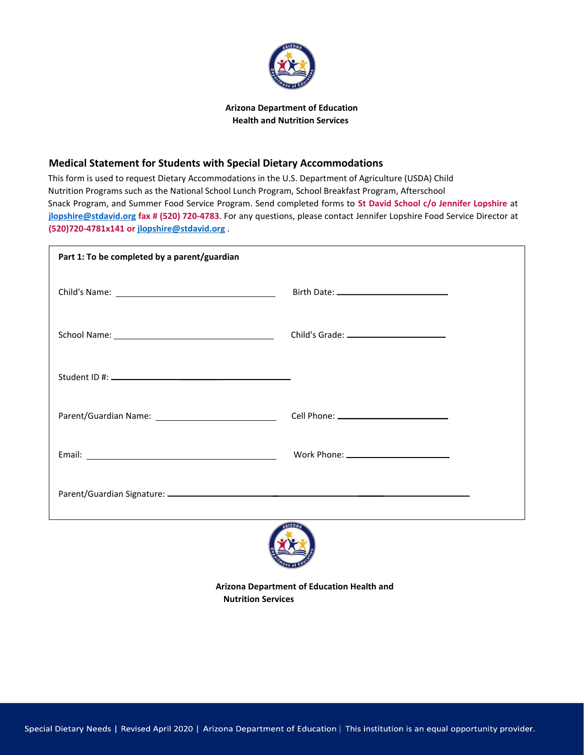

## **Arizona Department of Education Health and Nutrition Services**

## **Medical Statement for Students with Special Dietary Accommodations**

This form is used to request Dietary Accommodations in the U.S. Department of Agriculture (USDA) Child Nutrition Programs such as the National School Lunch Program, School Breakfast Program, Afterschool Snack Program, and Summer Food Service Program. Send completed forms to **St David School c/o Jennifer Lopshire** at **[jlopshire@stdavid.org](mailto:jlopshire@stdavid.org) fax # (520) 720-4783**. For any questions, please contact Jennifer Lopshire Food Service Director at **(520)720-4781x141 or [jlopshire@stdavid.org](mailto:jlopshire@stdavid.org)** .

| Part 1: To be completed by a parent/guardian |                                         |
|----------------------------------------------|-----------------------------------------|
|                                              |                                         |
|                                              | Child's Grade: ________________________ |
|                                              |                                         |
| Parent/Guardian Name: 1997                   |                                         |
|                                              |                                         |
|                                              |                                         |
|                                              |                                         |

**Arizona Department of Education Health and** 

**Nutrition Services**